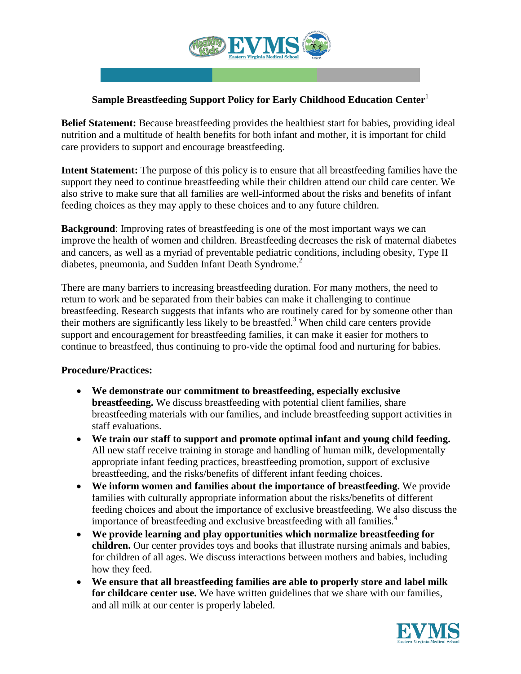

## **Sample Breastfeeding Support Policy for Early Childhood Education Center**<sup>1</sup>

**Belief Statement:** Because breastfeeding provides the healthiest start for babies, providing ideal nutrition and a multitude of health benefits for both infant and mother, it is important for child care providers to support and encourage breastfeeding.

**Intent Statement:** The purpose of this policy is to ensure that all breastfeeding families have the support they need to continue breastfeeding while their children attend our child care center. We also strive to make sure that all families are well-informed about the risks and benefits of infant feeding choices as they may apply to these choices and to any future children.

**Background**: Improving rates of breastfeeding is one of the most important ways we can improve the health of women and children. Breastfeeding decreases the risk of maternal diabetes and cancers, as well as a myriad of preventable pediatric conditions, including obesity, Type II diabetes, pneumonia, and Sudden Infant Death Syndrome.<sup>2</sup>

There are many barriers to increasing breastfeeding duration. For many mothers, the need to return to work and be separated from their babies can make it challenging to continue breastfeeding. Research suggests that infants who are routinely cared for by someone other than their mothers are significantly less likely to be breastfed.<sup>3</sup> When child care centers provide support and encouragement for breastfeeding families, it can make it easier for mothers to continue to breastfeed, thus continuing to pro-vide the optimal food and nurturing for babies.

## **Procedure/Practices:**

- **We demonstrate our commitment to breastfeeding, especially exclusive breastfeeding.** We discuss breastfeeding with potential client families, share breastfeeding materials with our families, and include breastfeeding support activities in staff evaluations.
- **We train our staff to support and promote optimal infant and young child feeding.** All new staff receive training in storage and handling of human milk, developmentally appropriate infant feeding practices, breastfeeding promotion, support of exclusive breastfeeding, and the risks/benefits of different infant feeding choices.
- **We inform women and families about the importance of breastfeeding.** We provide families with culturally appropriate information about the risks/benefits of different feeding choices and about the importance of exclusive breastfeeding. We also discuss the importance of breastfeeding and exclusive breastfeeding with all families.<sup>4</sup>
- **We provide learning and play opportunities which normalize breastfeeding for children.** Our center provides toys and books that illustrate nursing animals and babies, for children of all ages. We discuss interactions between mothers and babies, including how they feed.
- **We ensure that all breastfeeding families are able to properly store and label milk for childcare center use.** We have written guidelines that we share with our families, and all milk at our center is properly labeled.